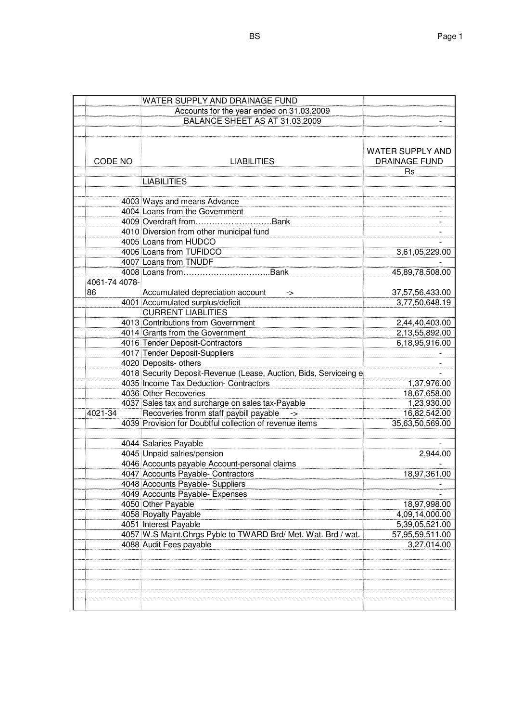|               | WATER SUPPLY AND DRAINAGE FUND                                                                    |                                          |
|---------------|---------------------------------------------------------------------------------------------------|------------------------------------------|
|               | Accounts for the year ended on 31.03.2009                                                         |                                          |
|               | BALANCE SHEET AS AT 31.03.2009                                                                    |                                          |
|               |                                                                                                   |                                          |
| CODE NO       | <b>LIABILITIES</b>                                                                                | WATER SUPPLY AND<br><b>DRAINAGE FUND</b> |
|               |                                                                                                   | <b>Rs</b>                                |
|               | <b>LIABILITIES</b>                                                                                |                                          |
|               |                                                                                                   |                                          |
|               | 4003 Ways and means Advance                                                                       |                                          |
|               | 4004 Loans from the Government                                                                    |                                          |
|               | 4009 Overdraft fromBank                                                                           |                                          |
|               | 4010 Diversion from other municipal fund                                                          |                                          |
|               | 4005 Loans from HUDCO                                                                             |                                          |
|               | 4006 Loans from TUFIDCO                                                                           | 3,61,05,229.00                           |
|               | 4007 Loans from TNUDF                                                                             |                                          |
|               |                                                                                                   | 45,89,78,508.00                          |
| 4061-74 4078- |                                                                                                   |                                          |
| 86            | Accumulated depreciation account<br>->                                                            | 37,57,56,433.00                          |
|               | 4001 Accumulated surplus/deficit                                                                  | 3,77,50,648.19                           |
|               | <b>CURRENT LIABLITIES</b>                                                                         |                                          |
|               | 4013 Contributions from Government                                                                | 2,44,40,403.00                           |
|               | 4014 Grants from the Government                                                                   | 2,13,55,892.00                           |
|               | 4016 Tender Deposit-Contractors                                                                   | 6,18,95,916.00                           |
|               | 4017 Tender Deposit-Suppliers                                                                     |                                          |
|               | 4020 Deposits- others                                                                             |                                          |
|               | 4018 Security Deposit-Revenue (Lease, Auction, Bids, Serviceing e                                 |                                          |
|               | 4035 Income Tax Deduction- Contractors                                                            | 1,37,976.00                              |
|               | 4036 Other Recoveries                                                                             | 18,67,658.00                             |
|               | 4037 Sales tax and surcharge on sales tax-Payable                                                 | 1,23,930.00                              |
| 4021-34       | Recoveries fronm staff paybill payable<br>4039 Provision for Doubtful collection of revenue items | 16,82,542.00                             |
|               |                                                                                                   | 35,63,50,569.00                          |
|               | 4044 Salaries Payable                                                                             |                                          |
|               | 4045 Unpaid salries/pension                                                                       | 2,944.00                                 |
|               | 4046 Accounts payable Account-personal claims                                                     |                                          |
|               | 4047 Accounts Payable- Contractors                                                                | 18.97.361.00                             |
|               | 4048 Accounts Payable- Suppliers                                                                  |                                          |
|               | 4049 Accounts Payable- Expenses                                                                   |                                          |
|               | 4050 Other Payable                                                                                | 18,97,998.00                             |
|               | 4058 Royalty Payable                                                                              | 4,09,14,000.00                           |
|               | 4051 Interest Payable                                                                             | 5,39,05,521.00                           |
|               | 4057 W.S Maint. Chrgs Pyble to TWARD Brd/ Met. Wat. Brd / wat.                                    | 57,95,59,511.00                          |
|               | 4088 Audit Fees payable                                                                           | 3,27,014.00                              |
|               |                                                                                                   |                                          |
|               |                                                                                                   |                                          |
|               |                                                                                                   |                                          |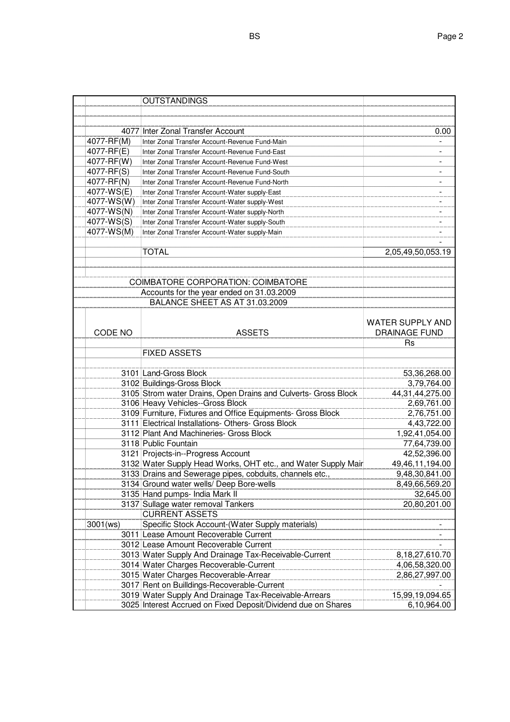|            | <b>OUTSTANDINGS</b>                                            |                         |
|------------|----------------------------------------------------------------|-------------------------|
|            |                                                                |                         |
|            |                                                                |                         |
|            | 4077 Inter Zonal Transfer Account                              | 0.00                    |
| 4077-RF(M) | Inter Zonal Transfer Account-Revenue Fund-Main                 |                         |
| 4077-RF(E) | Inter Zonal Transfer Account-Revenue Fund-East                 |                         |
| 4077-RF(W) | Inter Zonal Transfer Account-Revenue Fund-West                 |                         |
| 4077-RF(S) | Inter Zonal Transfer Account-Revenue Fund-South                |                         |
| 4077-RF(N) | Inter Zonal Transfer Account-Revenue Fund-North                |                         |
| 4077-WS(E) | Inter Zonal Transfer Account-Water supply-East                 |                         |
| 4077-WS(W) | Inter Zonal Transfer Account-Water supply-West                 |                         |
| 4077-WS(N) | Inter Zonal Transfer Account-Water supply-North                |                         |
| 4077-WS(S) | Inter Zonal Transfer Account-Water supply-South                |                         |
| 4077-WS(M) | Inter Zonal Transfer Account-Water supply-Main                 |                         |
|            |                                                                |                         |
|            | <b>TOTAL</b>                                                   | 2,05,49,50,053.19       |
|            |                                                                |                         |
|            |                                                                |                         |
|            | <b>COIMBATORE CORPORATION: COIMBATORE</b>                      |                         |
|            | Accounts for the year ended on 31.03.2009                      |                         |
|            | BALANCE SHEET AS AT 31.03.2009                                 |                         |
|            |                                                                |                         |
|            |                                                                | <b>WATER SUPPLY AND</b> |
| CODE NO    | <b>ASSETS</b>                                                  | <b>DRAINAGE FUND</b>    |
|            |                                                                | Rs                      |
|            | <b>FIXED ASSETS</b>                                            |                         |
|            |                                                                |                         |
|            | 3101 Land-Gross Block                                          | 53,36,268.00            |
|            | 3102 Buildings-Gross Block                                     | 3,79,764.00             |
|            | 3105 Strom water Drains, Open Drains and Culverts- Gross Block | 44, 31, 44, 275.00      |
|            | 3106 Heavy Vehicles--Gross Block                               | 2,69,761.00             |
|            | 3109 Furniture, Fixtures and Office Equipments- Gross Block    | 2,76,751.00             |
|            | 3111 Electrical Installations- Others- Gross Block             | 4,43,722.00             |
|            | 3112 Plant And Machineries- Gross Block                        | 1,92,41,054.00          |
|            | 3118 Public Fountain                                           | 77,64,739.00            |
|            | 3121 Projects-in--Progress Account                             | 42,52,396.00            |
|            | 3132 Water Supply Head Works, OHT etc., and Water Supply Mair  | 49,46,11,194.00         |
|            | 3133 Drains and Sewerage pipes, cobduits, channels etc.        | 9,48,30,841.00          |
|            | 3134 Ground water wells/ Deep Bore-wells                       | 8,49,66,569.20          |
|            | 3135 Hand pumps- India Mark II                                 | 32,645.00               |
|            | 3137 Sullage water removal Tankers                             | 20,80,201.00            |
|            | <b>CURRENT ASSETS</b>                                          |                         |
| 3001(ws)   | Specific Stock Account-(Water Supply materials)                |                         |
|            | 3011 Lease Amount Recoverable Current                          |                         |
|            |                                                                |                         |
|            | 3012 Lease Amount Recoverable Current                          |                         |
|            | 3013 Water Supply And Drainage Tax-Receivable-Current          | 8,18,27,610.70          |
|            | 3014 Water Charges Recoverable-Current                         | 4,06,58,320.00          |
|            | 3015 Water Charges Recoverable-Arrear                          | 2,86,27,997.00          |
|            | 3017 Rent on Builldings-Recoverable-Current                    |                         |
|            | 3019 Water Supply And Drainage Tax-Receivable-Arrears          | 15,99,19,094.65         |
|            | 3025 Interest Accrued on Fixed Deposit/Dividend due on Shares  | 6,10,964.00             |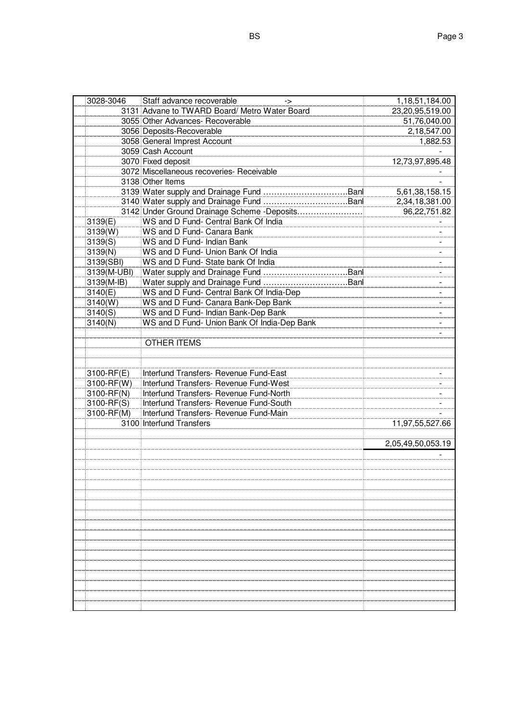| 3028-3046   | Staff advance recoverable<br>->               | 1,18,51,184.00    |
|-------------|-----------------------------------------------|-------------------|
|             | 3131 Advane to TWARD Board/ Metro Water Board | 23,20,95,519.00   |
|             | 3055 Other Advances- Recoverable              | 51,76,040.00      |
|             | 3056 Deposits-Recoverable                     | 2,18,547.00       |
|             | 3058 General Imprest Account                  | 1,882.53          |
|             | 3059 Cash Account                             |                   |
|             | 3070 Fixed deposit                            | 12,73,97,895.48   |
|             | 3072 Miscellaneous recoveries- Receivable     |                   |
|             | 3138 Other Items                              |                   |
|             |                                               | 5,61,38,158.15    |
|             |                                               | 2,34,18,381.00    |
|             | 3142 Under Ground Drainage Scheme - Deposits  | 96,22,751.82      |
| 3139(E)     | WS and D Fund- Central Bank Of India          |                   |
| 3139(W)     | WS and D Fund- Canara Bank                    | ÷.                |
| 3139(S)     | WS and D Fund- Indian Bank                    |                   |
| 3139(N)     | WS and D Fund- Union Bank Of India            | $\blacksquare$    |
| 3139(SBI)   | WS and D Fund- State bank Of India            | $\blacksquare$    |
| 3139(M-UBI) |                                               |                   |
| 3139(M-IB)  |                                               |                   |
| 3140(E)     | WS and D Fund- Central Bank Of India-Dep      |                   |
| 3140(W)     | WS and D Fund- Canara Bank-Dep Bank           |                   |
| 3140(S)     | WS and D Fund- Indian Bank-Dep Bank           |                   |
| 3140(N)     | WS and D Fund- Union Bank Of India-Dep Bank   |                   |
|             |                                               |                   |
|             | <b>OTHER ITEMS</b>                            |                   |
|             |                                               |                   |
|             |                                               |                   |
| 3100-RF(E)  | Interfund Transfers- Revenue Fund-East        |                   |
| 3100-RF(W)  | Interfund Transfers- Revenue Fund-West        |                   |
| 3100-RF(N)  | Interfund Transfers- Revenue Fund-North       |                   |
| 3100-RF(S)  | Interfund Transfers- Revenue Fund-South       |                   |
| 3100-RF(M)  | Interfund Transfers- Revenue Fund-Main        |                   |
|             | 3100 Interfund Transfers                      | 11,97,55,527.66   |
|             |                                               |                   |
|             |                                               | 2,05,49,50,053.19 |
|             |                                               |                   |
|             |                                               |                   |
|             |                                               |                   |
|             |                                               |                   |
|             |                                               |                   |
|             |                                               |                   |
|             |                                               |                   |
|             |                                               |                   |
|             |                                               |                   |
|             |                                               |                   |
|             |                                               |                   |
|             |                                               |                   |
|             |                                               |                   |
|             |                                               |                   |
|             |                                               |                   |
|             |                                               |                   |
|             |                                               |                   |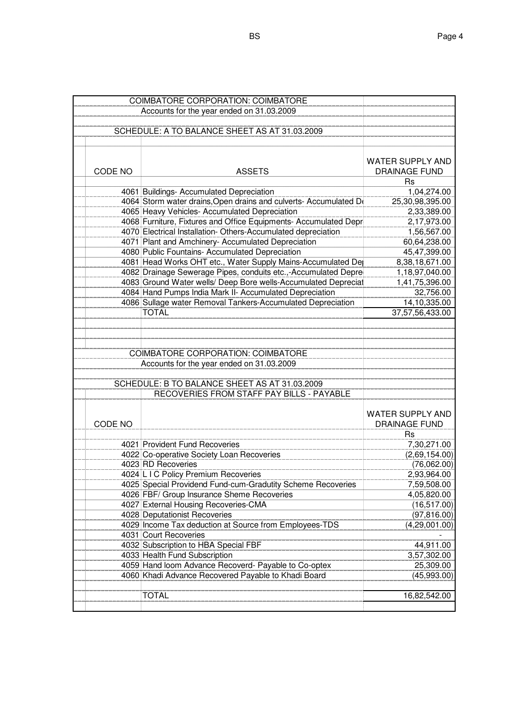|                                           | COIMBATORE CORPORATION: COIMBATORE |                                                                                 |                             |
|-------------------------------------------|------------------------------------|---------------------------------------------------------------------------------|-----------------------------|
| Accounts for the year ended on 31.03.2009 |                                    |                                                                                 |                             |
|                                           |                                    |                                                                                 |                             |
|                                           |                                    | SCHEDULE: A TO BALANCE SHEET AS AT 31.03.2009                                   |                             |
|                                           |                                    |                                                                                 |                             |
|                                           |                                    |                                                                                 |                             |
|                                           |                                    |                                                                                 | WATER SUPPLY AND            |
|                                           | CODE NO                            | <b>ASSETS</b>                                                                   | <b>DRAINAGE FUND</b>        |
|                                           |                                    |                                                                                 | <b>Rs</b>                   |
|                                           |                                    | 4061 Buildings- Accumulated Depreciation                                        | 1,04,274.00                 |
|                                           |                                    | 4064 Storm water drains, Open drains and culverts- Accumulated De               | 25,30,98,395.00             |
|                                           |                                    | 4065 Heavy Vehicles- Accumulated Depreciation                                   | 2,33,389.00                 |
|                                           |                                    | 4068 Furniture, Fixtures and Office Equipments- Accumulated Depr                | 2,17,973.00                 |
|                                           |                                    | 4070 Electrical Installation- Others-Accumulated depreciation                   | 1,56,567.00                 |
|                                           |                                    | 4071 Plant and Amchinery- Accumulated Depreciation                              | 60,64,238.00                |
|                                           |                                    | 4080 Public Fountains- Accumulated Depreciation                                 | 45,47,399.00                |
|                                           |                                    | 4081 Head Works OHT etc., Water Supply Mains-Accumulated De                     | 8,38,18,671.00              |
|                                           |                                    | 4082 Drainage Sewerage Pipes, conduits etc.,-Accumulated Depre                  | 1,18,97,040.00              |
|                                           |                                    | 4083 Ground Water wells/ Deep Bore wells-Accumulated Depreciat                  | 1,41,75,396.00              |
|                                           |                                    | 4084 Hand Pumps India Mark II- Accumulated Depreciation                         | 32,756.00                   |
|                                           |                                    | 4086 Sullage water Removal Tankers-Accumulated Depreciation                     | 14,10,335.00                |
|                                           |                                    | <b>TOTAL</b>                                                                    | 37,57,56,433.00             |
|                                           |                                    |                                                                                 |                             |
|                                           |                                    |                                                                                 |                             |
|                                           |                                    |                                                                                 |                             |
|                                           |                                    | COIMBATORE CORPORATION: COIMBATORE                                              |                             |
|                                           |                                    | Accounts for the year ended on 31.03.2009                                       |                             |
|                                           |                                    |                                                                                 |                             |
|                                           |                                    | SCHEDULE: B TO BALANCE SHEET AS AT 31.03.2009                                   |                             |
|                                           |                                    | RECOVERIES FROM STAFF PAY BILLS - PAYABLE                                       |                             |
|                                           |                                    |                                                                                 |                             |
|                                           |                                    |                                                                                 | WATER SUPPLY AND            |
|                                           | CODE NO                            |                                                                                 | <b>DRAINAGE FUND</b>        |
|                                           |                                    |                                                                                 | Rs                          |
|                                           |                                    | 4021 Provident Fund Recoveries                                                  | 7,30,271.00                 |
|                                           |                                    | 4022 Co-operative Society Loan Recoveries                                       | (2,69,154.00)               |
|                                           |                                    | 4023 RD Recoveries                                                              | (76,062.00)                 |
|                                           |                                    | 4024 L I C Policy Premium Recoveries                                            | 2,93,964.00                 |
|                                           |                                    |                                                                                 |                             |
|                                           |                                    | 4025 Special Providend Fund-cum-Gradutity Scheme Recoveries                     | 7,59,508.00                 |
|                                           |                                    | 4026 FBF/ Group Insurance Sheme Recoveries                                      | 4,05,820.00<br>(16, 517.00) |
|                                           |                                    | 4027 External Housing Recoveries-CMA<br>4028 Deputationist Recoveries           |                             |
|                                           |                                    |                                                                                 | (97, 816.00)                |
|                                           |                                    | 4029 Income Tax deduction at Source from Employees-TDS<br>4031 Court Recoveries | (4,29,001.00)               |
|                                           |                                    |                                                                                 |                             |
|                                           |                                    | 4032 Subscription to HBA Special FBF                                            | 44,911.00                   |
|                                           |                                    | 4033 Health Fund Subscription                                                   | 3,57,302.00                 |
|                                           |                                    | 4059 Hand loom Advance Recoverd- Payable to Co-optex                            | 25,309.00                   |
|                                           |                                    | 4060 Khadi Advance Recovered Payable to Khadi Board                             | (45,993.00)                 |
|                                           |                                    |                                                                                 |                             |
|                                           |                                    | TOTAL                                                                           | 16,82,542.00                |
|                                           |                                    |                                                                                 |                             |